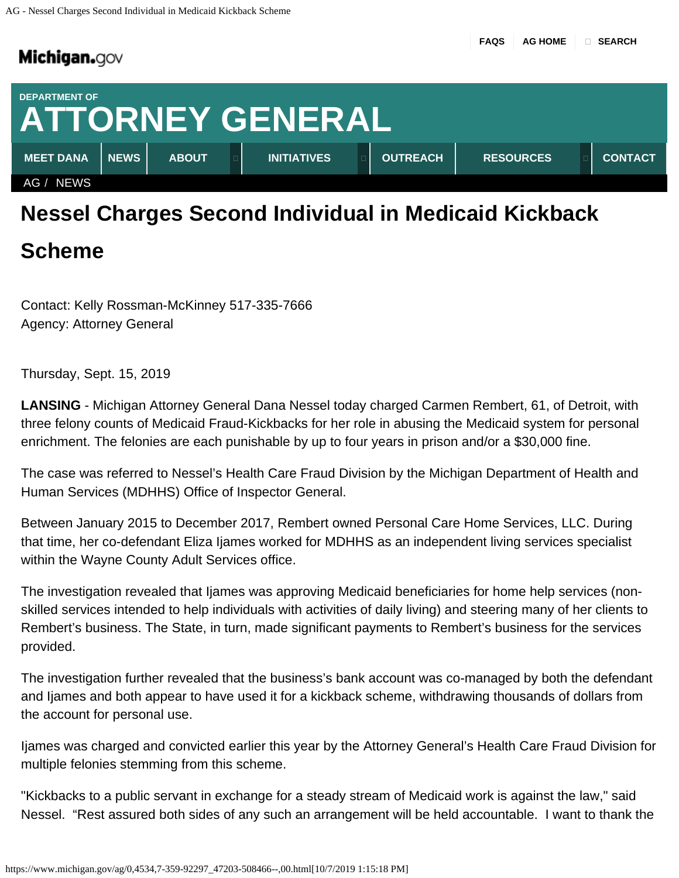### <span id="page-0-0"></span>**Michigan.**gov



# **Nessel Charges Second Individual in Medicaid Kickback**

## **Scheme**

Contact: Kelly Rossman-McKinney 517-335-7666 Agency: Attorney General

Thursday, Sept. 15, 2019

**LANSING** - Michigan Attorney General Dana Nessel today charged Carmen Rembert, 61, of Detroit, with three felony counts of Medicaid Fraud-Kickbacks for her role in abusing the Medicaid system for personal enrichment. The felonies are each punishable by up to four years in prison and/or a \$30,000 fine.

The case was referred to Nessel's Health Care Fraud Division by the Michigan Department of Health and Human Services (MDHHS) Office of Inspector General.

Between January 2015 to December 2017, Rembert owned Personal Care Home Services, LLC. During that time, her co-defendant Eliza Ijames worked for MDHHS as an independent living services specialist within the Wayne County Adult Services office.

The investigation revealed that Ijames was approving Medicaid beneficiaries for home help services (nonskilled services intended to help individuals with activities of daily living) and steering many of her clients to Rembert's business. The State, in turn, made significant payments to Rembert's business for the services provided.

The investigation further revealed that the business's bank account was co-managed by both the defendant and Ijames and both appear to have used it for a kickback scheme, withdrawing thousands of dollars from the account for personal use.

Ijames was charged and convicted earlier this year by the Attorney General's Health Care Fraud Division for multiple felonies stemming from this scheme.

"Kickbacks to a public servant in exchange for a steady stream of Medicaid work is against the law," said Nessel. "Rest assured both sides of any such an arrangement will be held accountable. I want to thank the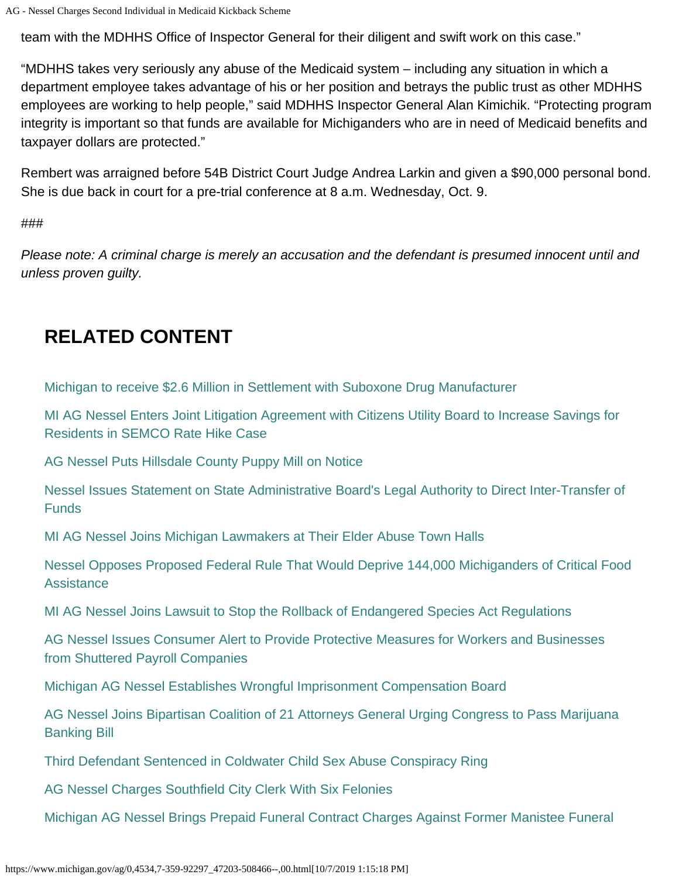team with the MDHHS Office of Inspector General for their diligent and swift work on this case."

"MDHHS takes very seriously any abuse of the Medicaid system – including any situation in which a department employee takes advantage of his or her position and betrays the public trust as other MDHHS employees are working to help people," said MDHHS Inspector General Alan Kimichik. "Protecting program integrity is important so that funds are available for Michiganders who are in need of Medicaid benefits and taxpayer dollars are protected."

Rembert was arraigned before 54B District Court Judge Andrea Larkin and given a \$90,000 personal bond. She is due back in court for a pre-trial conference at 8 a.m. Wednesday, Oct. 9.

#### ###

*Please note: A criminal charge is merely an accusation and the defendant is presumed innocent until and unless proven guilty.*

## **RELATED CONTENT**

[Michigan to receive \\$2.6 Million in Settlement with Suboxone Drug Manufacturer](https://www.michigan.gov/ag/0,4534,7-359-92297_47203-509201--,00.html)

[MI AG Nessel Enters Joint Litigation Agreement with Citizens Utility Board to Increase Savings for](https://www.michigan.gov/ag/0,4534,7-359-92297_47203-509249--,00.html) [Residents in SEMCO Rate Hike Case](https://www.michigan.gov/ag/0,4534,7-359-92297_47203-509249--,00.html)

[AG Nessel Puts Hillsdale County Puppy Mill on Notice](https://www.michigan.gov/ag/0,4534,7-359-92297_47203-509036--,00.html)

[Nessel Issues Statement on State Administrative Board's Legal Authority to Direct Inter-Transfer of](https://www.michigan.gov/ag/0,4534,7-359-92297_47203-508792--,00.html) **[Funds](https://www.michigan.gov/ag/0,4534,7-359-92297_47203-508792--,00.html)** 

[MI AG Nessel Joins Michigan Lawmakers at Their Elder Abuse Town Halls](https://www.michigan.gov/ag/0,4534,7-359-92297_47203-508874--,00.html)

[Nessel Opposes Proposed Federal Rule That Would Deprive 144,000 Michiganders of Critical Food](https://www.michigan.gov/ag/0,4534,7-359-92297_47203-508701--,00.html) **[Assistance](https://www.michigan.gov/ag/0,4534,7-359-92297_47203-508701--,00.html)** 

[MI AG Nessel Joins Lawsuit to Stop the Rollback of Endangered Species Act Regulations](https://www.michigan.gov/ag/0,4534,7-359-92297_47203-508548--,00.html)

[AG Nessel Issues Consumer Alert to Provide Protective Measures for Workers and Businesses](https://www.michigan.gov/ag/0,4534,7-359-92297_47203-508496--,00.html) [from Shuttered Payroll Companies](https://www.michigan.gov/ag/0,4534,7-359-92297_47203-508496--,00.html)

[Michigan AG Nessel Establishes Wrongful Imprisonment Compensation Board](https://www.michigan.gov/ag/0,4534,7-359-92297_47203-508371--,00.html)

[AG Nessel Joins Bipartisan Coalition of 21 Attorneys General Urging Congress to Pass Marijuana](https://www.michigan.gov/ag/0,4534,7-359-92297_47203-508309--,00.html) [Banking Bill](https://www.michigan.gov/ag/0,4534,7-359-92297_47203-508309--,00.html)

[Third Defendant Sentenced in Coldwater Child Sex Abuse Conspiracy Ring](https://www.michigan.gov/ag/0,4534,7-359-92297_47203-508242--,00.html)

[AG Nessel Charges Southfield City Clerk With Six Felonies](https://www.michigan.gov/ag/0,4534,7-359-92297_47203-508151--,00.html)

[Michigan AG Nessel Brings Prepaid Funeral Contract Charges Against Former Manistee Funeral](https://www.michigan.gov/ag/0,4534,7-359-92297_47203-508064--,00.html)